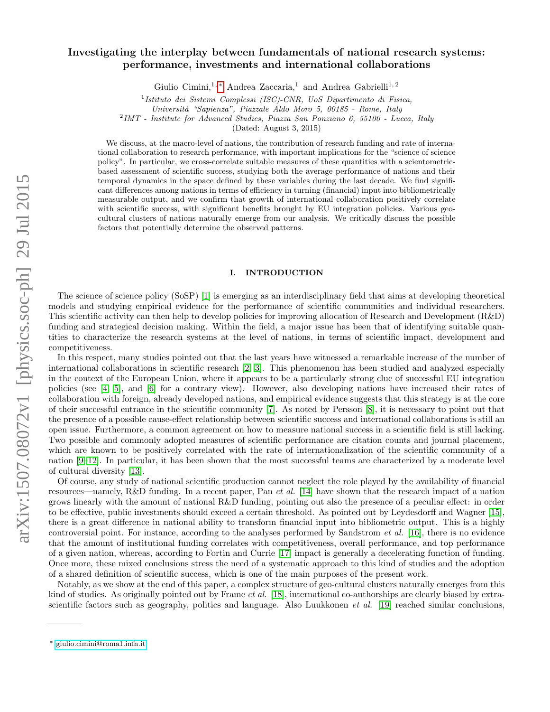# arXiv:1507.08072v1 [physics.soc-ph] 29 Jul 2015 arXiv:1507.08072v1 [physics.soc-ph] 29 Jul 2015

# Investigating the interplay between fundamentals of national research systems: performance, investments and international collaborations

Giulio Cimini,<sup>1,\*</sup> Andrea Zaccaria,<sup>1</sup> and Andrea Gabrielli<sup>1,2</sup>

<sup>1</sup> Istituto dei Sistemi Complessi (ISC)-CNR, UoS Dipartimento di Fisica,

Universit`a "Sapienza", Piazzale Aldo Moro 5, 00185 - Rome, Italy

<sup>2</sup> IMT - Institute for Advanced Studies, Piazza San Ponziano 6, 55100 - Lucca, Italy

(Dated: August 3, 2015)

We discuss, at the macro-level of nations, the contribution of research funding and rate of international collaboration to research performance, with important implications for the "science of science policy". In particular, we cross-correlate suitable measures of these quantities with a scientometricbased assessment of scientific success, studying both the average performance of nations and their temporal dynamics in the space defined by these variables during the last decade. We find significant differences among nations in terms of efficiency in turning (financial) input into bibliometrically measurable output, and we confirm that growth of international collaboration positively correlate with scientific success, with significant benefits brought by EU integration policies. Various geocultural clusters of nations naturally emerge from our analysis. We critically discuss the possible factors that potentially determine the observed patterns.

# I. INTRODUCTION

The science of science policy (SoSP) [\[1\]](#page-9-0) is emerging as an interdisciplinary field that aims at developing theoretical models and studying empirical evidence for the performance of scientific communities and individual researchers. This scientific activity can then help to develop policies for improving allocation of Research and Development (R&D) funding and strategical decision making. Within the field, a major issue has been that of identifying suitable quantities to characterize the research systems at the level of nations, in terms of scientific impact, development and competitiveness.

In this respect, many studies pointed out that the last years have witnessed a remarkable increase of the number of international collaborations in scientific research [\[2,](#page-9-1) [3\]](#page-9-2). This phenomenon has been studied and analyzed especially in the context of the European Union, where it appears to be a particularly strong clue of successful EU integration policies (see [\[4,](#page-9-3) [5\]](#page-9-4), and [\[6\]](#page-9-5) for a contrary view). However, also developing nations have increased their rates of collaboration with foreign, already developed nations, and empirical evidence suggests that this strategy is at the core of their successful entrance in the scientific community [\[7\]](#page-9-6). As noted by Persson [\[8\]](#page-9-7), it is necessary to point out that the presence of a possible cause-effect relationship between scientific success and international collaborations is still an open issue. Furthermore, a common agreement on how to measure national success in a scientific field is still lacking. Two possible and commonly adopted measures of scientific performance are citation counts and journal placement, which are known to be positively correlated with the rate of internationalization of the scientific community of a nation [\[9–](#page-9-8)[12\]](#page-9-9). In particular, it has been shown that the most successful teams are characterized by a moderate level of cultural diversity [\[13\]](#page-10-0).

Of course, any study of national scientific production cannot neglect the role played by the availability of financial resources—namely, R&D funding. In a recent paper, Pan *et al.* [\[14\]](#page-10-1) have shown that the research impact of a nation grows linearly with the amount of national R&D funding, pointing out also the presence of a peculiar effect: in order to be effective, public investments should exceed a certain threshold. As pointed out by Leydesdorff and Wagner [\[15\]](#page-10-2), there is a great difference in national ability to transform financial input into bibliometric output. This is a highly controversial point. For instance, according to the analyses performed by Sandstrom et al. [\[16\]](#page-10-3), there is no evidence that the amount of institutional funding correlates with competitiveness, overall performance, and top performance of a given nation, whereas, according to Fortin and Currie [\[17\]](#page-10-4) impact is generally a decelerating function of funding. Once more, these mixed conclusions stress the need of a systematic approach to this kind of studies and the adoption of a shared definition of scientific success, which is one of the main purposes of the present work.

Notably, as we show at the end of this paper, a complex structure of geo-cultural clusters naturally emerges from this kind of studies. As originally pointed out by Frame *et al.* [\[18\]](#page-10-5), international co-authorships are clearly biased by extrascientific factors such as geography, politics and language. Also Luukkonen *et al.* [\[19\]](#page-10-6) reached similar conclusions,

<span id="page-0-0"></span><sup>∗</sup> [giulio.cimini@roma1.infn.it](mailto:giulio.cimini@roma1.infn.it)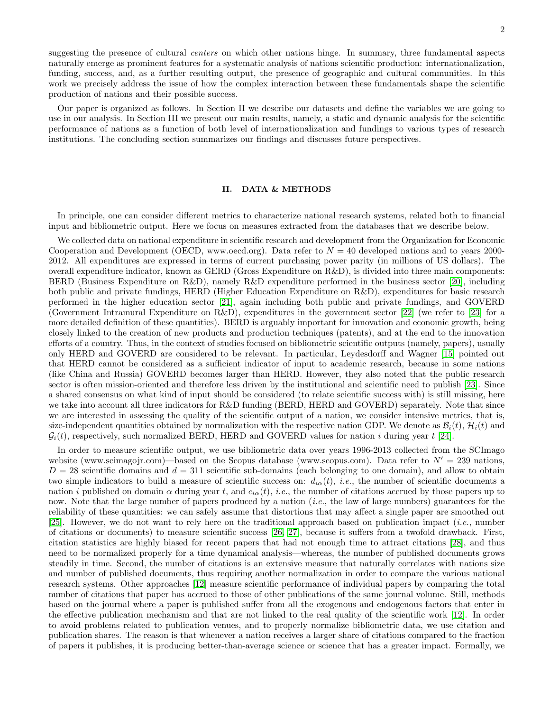suggesting the presence of cultural *centers* on which other nations hinge. In summary, three fundamental aspects naturally emerge as prominent features for a systematic analysis of nations scientific production: internationalization, funding, success, and, as a further resulting output, the presence of geographic and cultural communities. In this work we precisely address the issue of how the complex interaction between these fundamentals shape the scientific production of nations and their possible success.

Our paper is organized as follows. In Section II we describe our datasets and define the variables we are going to use in our analysis. In Section III we present our main results, namely, a static and dynamic analysis for the scientific performance of nations as a function of both level of internationalization and fundings to various types of research institutions. The concluding section summarizes our findings and discusses future perspectives.

### II. DATA & METHODS

In principle, one can consider different metrics to characterize national research systems, related both to financial input and bibliometric output. Here we focus on measures extracted from the databases that we describe below.

We collected data on national expenditure in scientific research and development from the Organization for Economic Cooperation and Development (OECD, www.oecd.org). Data refer to  $N = 40$  developed nations and to years 2000-2012. All expenditures are expressed in terms of current purchasing power parity (in millions of US dollars). The overall expenditure indicator, known as GERD (Gross Expenditure on R&D), is divided into three main components: BERD (Business Expenditure on R&D), namely R&D expenditure performed in the business sector [\[20\]](#page-10-7), including both public and private fundings, HERD (Higher Education Expenditure on R&D), expenditures for basic research performed in the higher education sector [\[21\]](#page-10-8), again including both public and private fundings, and GOVERD (Government Intramural Expenditure on R&D), expenditures in the government sector [\[22\]](#page-10-9) (we refer to [\[23\]](#page-10-10) for a more detailed definition of these quantities). BERD is arguably important for innovation and economic growth, being closely linked to the creation of new products and production techniques (patents), and at the end to the innovation efforts of a country. Thus, in the context of studies focused on bibliometric scientific outputs (namely, papers), usually only HERD and GOVERD are considered to be relevant. In particular, Leydesdorff and Wagner [\[15\]](#page-10-2) pointed out that HERD cannot be considered as a sufficient indicator of input to academic research, because in some nations (like China and Russia) GOVERD becomes larger than HERD. However, they also noted that the public research sector is often mission-oriented and therefore less driven by the institutional and scientific need to publish [\[23\]](#page-10-10). Since a shared consensus on what kind of input should be considered (to relate scientific success with) is still missing, here we take into account all three indicators for R&D funding (BERD, HERD and GOVERD) separately. Note that since we are interested in assessing the quality of the scientific output of a nation, we consider intensive metrics, that is, size-independent quantities obtained by normalization with the respective nation GDP. We denote as  $B_i(t)$ ,  $H_i(t)$  and  $\mathcal{G}_i(t)$ , respectively, such normalized BERD, HERD and GOVERD values for nation i during year t [\[24\]](#page-10-11).

In order to measure scientific output, we use bibliometric data over years 1996-2013 collected from the SCImago website (www.scimagojr.com)—based on the Scopus database (www.scopus.com). Data refer to  $N' = 239$  nations,  $D = 28$  scientific domains and  $d = 311$  scientific sub-domains (each belonging to one domain), and allow to obtain two simple indicators to build a measure of scientific success on:  $d_{i\alpha}(t)$ , *i.e.*, the number of scientific documents a nation i published on domain  $\alpha$  during year t, and  $c_{i\alpha}(t)$ , i.e., the number of citations accrued by those papers up to now. Note that the large number of papers produced by a nation *(i.e.*, the law of large numbers) guarantees for the reliability of these quantities: we can safely assume that distortions that may affect a single paper are smoothed out [\[25\]](#page-10-12). However, we do not want to rely here on the traditional approach based on publication impact (*i.e.*, number of citations or documents) to measure scientific success [\[26,](#page-10-13) [27\]](#page-10-14), because it suffers from a twofold drawback. First, citation statistics are highly biased for recent papers that had not enough time to attract citations [\[28\]](#page-10-15), and thus need to be normalized properly for a time dynamical analysis—whereas, the number of published documents grows steadily in time. Second, the number of citations is an extensive measure that naturally correlates with nations size and number of published documents, thus requiring another normalization in order to compare the various national research systems. Other approaches [\[12\]](#page-9-9) measure scientific performance of individual papers by comparing the total number of citations that paper has accrued to those of other publications of the same journal volume. Still, methods based on the journal where a paper is published suffer from all the exogenous and endogenous factors that enter in the effective publication mechanism and that are not linked to the real quality of the scientific work [\[12\]](#page-9-9). In order to avoid problems related to publication venues, and to properly normalize bibliometric data, we use citation and publication shares. The reason is that whenever a nation receives a larger share of citations compared to the fraction of papers it publishes, it is producing better-than-average science or science that has a greater impact. Formally, we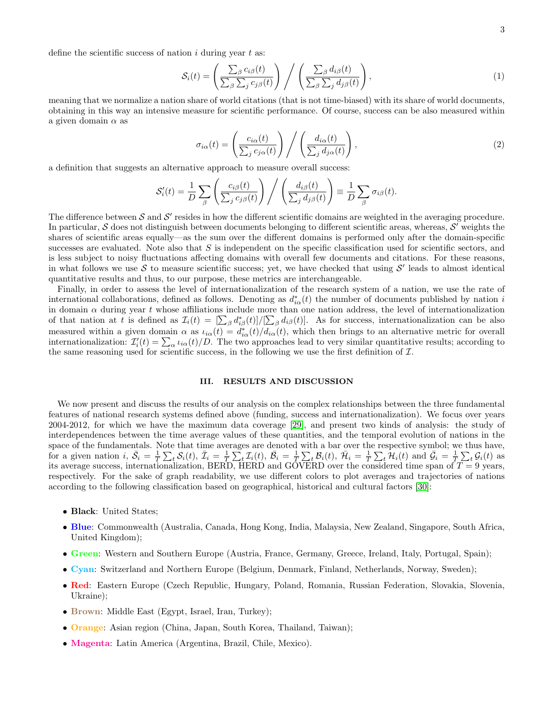define the scientific success of nation  $i$  during year  $t$  as:

$$
S_i(t) = \left(\frac{\sum_{\beta} c_{i\beta}(t)}{\sum_{\beta} \sum_j c_{j\beta}(t)}\right) / \left(\frac{\sum_{\beta} d_{i\beta}(t)}{\sum_{\beta} \sum_j d_{j\beta}(t)}\right),\tag{1}
$$

meaning that we normalize a nation share of world citations (that is not time-biased) with its share of world documents, obtaining in this way an intensive measure for scientific performance. Of course, success can be also measured within a given domain  $\alpha$  as

$$
\sigma_{i\alpha}(t) = \left(\frac{c_{i\alpha}(t)}{\sum_j c_{j\alpha}(t)}\right) / \left(\frac{d_{i\alpha}(t)}{\sum_j d_{j\alpha}(t)}\right),\tag{2}
$$

a definition that suggests an alternative approach to measure overall success:

$$
\mathcal{S}'_i(t) = \frac{1}{D} \sum_{\beta} \left( \frac{c_{i\beta}(t)}{\sum_j c_{j\beta}(t)} \right) / \left( \frac{d_{i\beta}(t)}{\sum_j d_{j\beta}(t)} \right) \equiv \frac{1}{D} \sum_{\beta} \sigma_{i\beta}(t).
$$

The difference between  $S$  and  $S'$  resides in how the different scientific domains are weighted in the averaging procedure. In particular,  $S$  does not distinguish between documents belonging to different scientific areas, whereas,  $S'$  weights the shares of scientific areas equally—as the sum over the different domains is performed only after the domain-specific successes are evaluated. Note also that  $S$  is independent on the specific classification used for scientific sectors, and is less subject to noisy fluctuations affecting domains with overall few documents and citations. For these reasons, in what follows we use S to measure scientific success; yet, we have checked that using  $S'$  leads to almost identical quantitative results and thus, to our purpose, these metrics are interchangeable.

Finally, in order to assess the level of internationalization of the research system of a nation, we use the rate of international collaborations, defined as follows. Denoting as  $d_{i\alpha}^*(t)$  the number of documents published by nation i in domain  $\alpha$  during year t whose affiliations include more than one nation address, the level of internationalization of that nation at t is defined as  $\mathcal{I}_i(t) = \left[\sum_{\beta} d_{i\beta}^*(t)\right] / \left[\sum_{\beta} d_{i\beta}(t)\right]$ . As for success, internationalization can be also measured within a given domain  $\alpha$  as  $\iota_{i\alpha}(t) = d_{i\alpha}^*(t)/d_{i\alpha}(t)$ , which then brings to an alternative metric for overall internationalization:  $\mathcal{I}'_i(t) = \sum_{\alpha} \iota_{i\alpha}(t)/D$ . The two approaches lead to very similar quantitative results; according to the same reasoning used for scientific success, in the following we use the first definition of  $\mathcal{I}$ .

### III. RESULTS AND DISCUSSION

We now present and discuss the results of our analysis on the complex relationships between the three fundamental features of national research systems defined above (funding, success and internationalization). We focus over years 2004-2012, for which we have the maximum data coverage [\[29\]](#page-10-16), and present two kinds of analysis: the study of interdependences between the time average values of these quantities, and the temporal evolution of nations in the space of the fundamentals. Note that time averages are denoted with a bar over the respective symbol; we thus have, for a given nation  $i, \bar{S}_i = \frac{1}{T} \sum_t S_i(t), \bar{\mathcal{I}}_i = \frac{1}{T} \sum_t \mathcal{I}_i(t), \bar{\mathcal{B}}_i = \frac{1}{T} \sum_t \mathcal{B}_i(t), \bar{\mathcal{H}}_i = \frac{1}{T} \sum_t \mathcal{H}_i(t)$  and  $\bar{\mathcal{G}}_i = \frac{1}{T} \sum_t \mathcal{G}_i(t)$  as its average success, internationalization, BERD, HERD and GOVERD over the considered time span of  $T = 9$  years, respectively. For the sake of graph readability, we use different colors to plot averages and trajectories of nations according to the following classification based on geographical, historical and cultural factors [\[30\]](#page-10-17):

- Black: United States;
- Blue: Commonwealth (Australia, Canada, Hong Kong, India, Malaysia, New Zealand, Singapore, South Africa, United Kingdom);
- Green: Western and Southern Europe (Austria, France, Germany, Greece, Ireland, Italy, Portugal, Spain);
- Cyan: Switzerland and Northern Europe (Belgium, Denmark, Finland, Netherlands, Norway, Sweden);
- Red: Eastern Europe (Czech Republic, Hungary, Poland, Romania, Russian Federation, Slovakia, Slovenia, Ukraine);
- Brown: Middle East (Egypt, Israel, Iran, Turkey);
- Orange: Asian region (China, Japan, South Korea, Thailand, Taiwan);
- Magenta: Latin America (Argentina, Brazil, Chile, Mexico).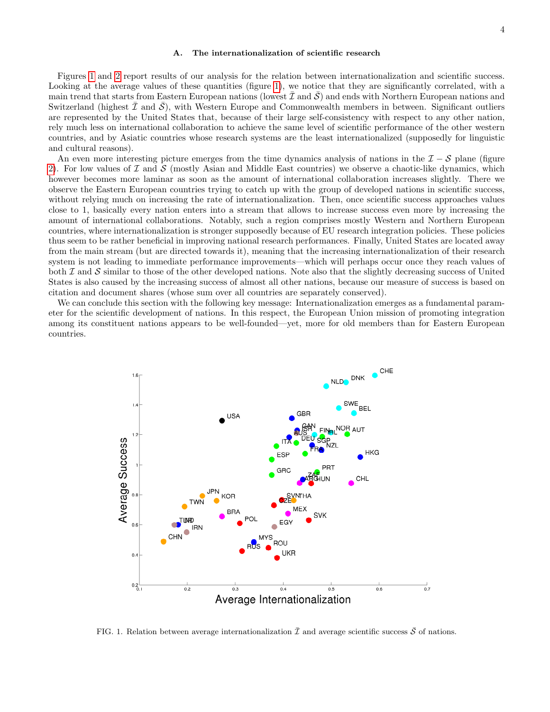# A. The internationalization of scientific research

Figures [1](#page-3-0) and [2](#page-4-0) report results of our analysis for the relation between internationalization and scientific success. Looking at the average values of these quantities (figure [1\)](#page-3-0), we notice that they are significantly correlated, with a main trend that starts from Eastern European nations (lowest  $\mathcal I$  and  $\mathcal S$ ) and ends with Northern European nations and Switzerland (highest  $\mathcal I$  and  $\mathcal S$ ), with Western Europe and Commonwealth members in between. Significant outliers are represented by the United States that, because of their large self-consistency with respect to any other nation, rely much less on international collaboration to achieve the same level of scientific performance of the other western countries, and by Asiatic countries whose research systems are the least internationalized (supposedly for linguistic and cultural reasons).

An even more interesting picture emerges from the time dynamics analysis of nations in the  $\mathcal{I} - \mathcal{S}$  plane (figure [2\)](#page-4-0). For low values of  $\mathcal I$  and  $\mathcal S$  (mostly Asian and Middle East countries) we observe a chaotic-like dynamics, which however becomes more laminar as soon as the amount of international collaboration increases slightly. There we observe the Eastern European countries trying to catch up with the group of developed nations in scientific success, without relying much on increasing the rate of internationalization. Then, once scientific success approaches values close to 1, basically every nation enters into a stream that allows to increase success even more by increasing the amount of international collaborations. Notably, such a region comprises mostly Western and Northern European countries, where internationalization is stronger supposedly because of EU research integration policies. These policies thus seem to be rather beneficial in improving national research performances. Finally, United States are located away from the main stream (but are directed towards it), meaning that the increasing internationalization of their research system is not leading to immediate performance improvements—which will perhaps occur once they reach values of both  $\mathcal I$  and  $\mathcal S$  similar to those of the other developed nations. Note also that the slightly decreasing success of United States is also caused by the increasing success of almost all other nations, because our measure of success is based on citation and document shares (whose sum over all countries are separately conserved).

We can conclude this section with the following key message: Internationalization emerges as a fundamental parameter for the scientific development of nations. In this respect, the European Union mission of promoting integration among its constituent nations appears to be well-founded—yet, more for old members than for Eastern European countries.



<span id="page-3-0"></span>FIG. 1. Relation between average internationalization  $\bar{\mathcal{I}}$  and average scientific success  $\bar{\mathcal{S}}$  of nations.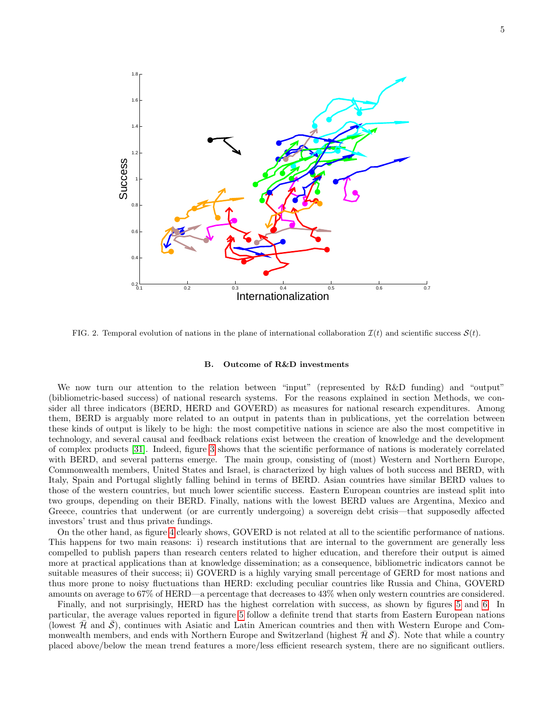

<span id="page-4-0"></span>FIG. 2. Temporal evolution of nations in the plane of international collaboration  $\mathcal{I}(t)$  and scientific success  $\mathcal{S}(t)$ .

### B. Outcome of R&D investments

We now turn our attention to the relation between "input" (represented by R&D funding) and "output" (bibliometric-based success) of national research systems. For the reasons explained in section Methods, we consider all three indicators (BERD, HERD and GOVERD) as measures for national research expenditures. Among them, BERD is arguably more related to an output in patents than in publications, yet the correlation between these kinds of output is likely to be high: the most competitive nations in science are also the most competitive in technology, and several causal and feedback relations exist between the creation of knowledge and the development of complex products [\[31\]](#page-10-18). Indeed, figure [3](#page-5-0) shows that the scientific performance of nations is moderately correlated with BERD, and several patterns emerge. The main group, consisting of (most) Western and Northern Europe, Commonwealth members, United States and Israel, is characterized by high values of both success and BERD, with Italy, Spain and Portugal slightly falling behind in terms of BERD. Asian countries have similar BERD values to those of the western countries, but much lower scientific success. Eastern European countries are instead split into two groups, depending on their BERD. Finally, nations with the lowest BERD values are Argentina, Mexico and Greece, countries that underwent (or are currently undergoing) a sovereign debt crisis—that supposedly affected investors' trust and thus private fundings.

On the other hand, as figure [4](#page-5-1) clearly shows, GOVERD is not related at all to the scientific performance of nations. This happens for two main reasons: i) research institutions that are internal to the government are generally less compelled to publish papers than research centers related to higher education, and therefore their output is aimed more at practical applications than at knowledge dissemination; as a consequence, bibliometric indicators cannot be suitable measures of their success; ii) GOVERD is a highly varying small percentage of GERD for most nations and thus more prone to noisy fluctuations than HERD: excluding peculiar countries like Russia and China, GOVERD amounts on average to 67% of HERD—a percentage that decreases to 43% when only western countries are considered.

Finally, and not surprisingly, HERD has the highest correlation with success, as shown by figures [5](#page-6-0) and [6.](#page-6-1) In particular, the average values reported in figure [5](#page-6-0) follow a definite trend that starts from Eastern European nations (lowest  $H$  and  $S$ ), continues with Asiatic and Latin American countries and then with Western Europe and Commonwealth members, and ends with Northern Europe and Switzerland (highest  $H$  and  $S$ ). Note that while a country placed above/below the mean trend features a more/less efficient research system, there are no significant outliers.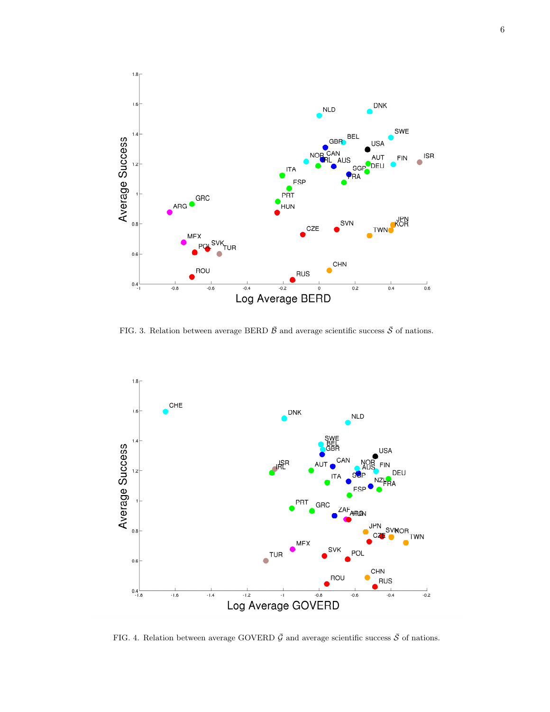

<span id="page-5-0"></span>FIG. 3. Relation between average BERD  $\bar{\mathcal{B}}$  and average scientific success  $\bar{\mathcal{S}}$  of nations.



<span id="page-5-1"></span>FIG. 4. Relation between average GOVERD  $\bar{G}$  and average scientific success  $\bar{S}$  of nations.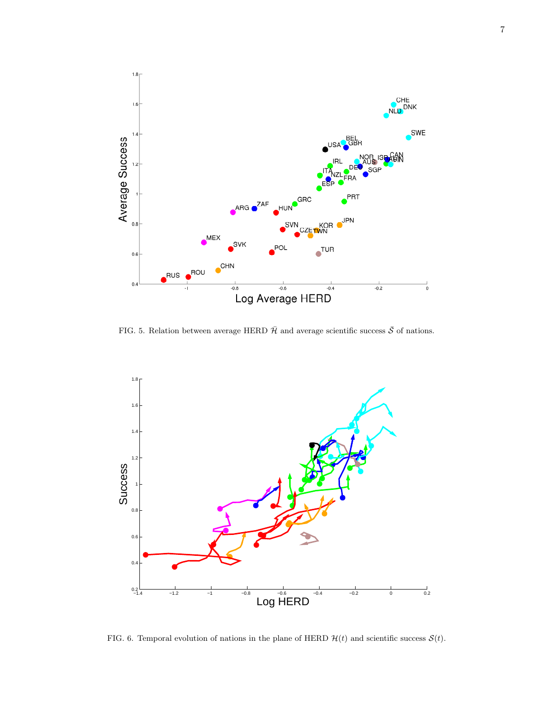

<span id="page-6-0"></span>FIG. 5. Relation between average HERD  $\bar{\mathcal{H}}$  and average scientific success  $\bar{\mathcal{S}}$  of nations.



<span id="page-6-1"></span>FIG. 6. Temporal evolution of nations in the plane of HERD  $\mathcal{H}(t)$  and scientific success  $\mathcal{S}(t)$ .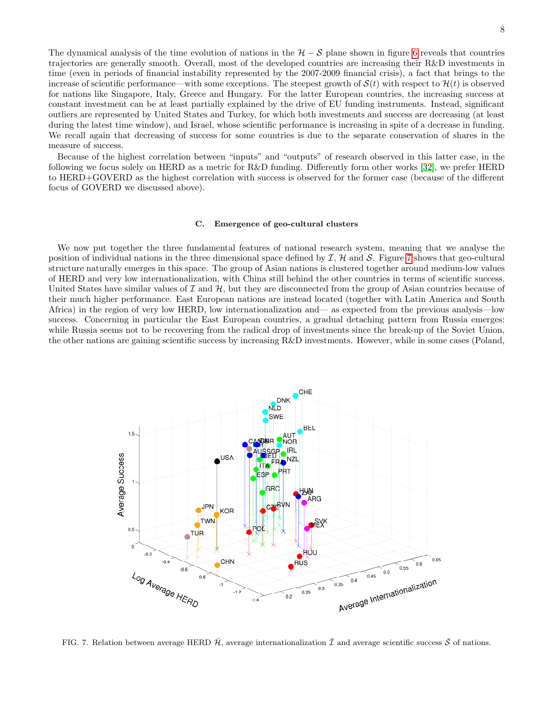The dynamical analysis of the time evolution of nations in the  $H - S$  plane shown in figure [6](#page-6-1) reveals that countries trajectories are generally smooth. Overall, most of the developed countries are increasing their R&D investments in time (even in periods of financial instability represented by the 2007-2009 financial crisis), a fact that brings to the increase of scientific performance—with some exceptions. The steepest growth of  $\mathcal{S}(t)$  with respect to  $\mathcal{H}(t)$  is observed for nations like Singapore, Italy, Greece and Hungary. For the latter European countries, the increasing success at constant investment can be at least partially explained by the drive of EU funding instruments. Instead, significant outliers are represented by United States and Turkey, for which both investments and success are decreasing (at least during the latest time window), and Israel, whose scientific performance is increasing in spite of a decrease in funding. We recall again that decreasing of success for some countries is due to the separate conservation of shares in the measure of success.

Because of the highest correlation between "inputs" and "outputs" of research observed in this latter case, in the following we focus solely on HERD as a metric for R&D funding. Differently form other works [\[32\]](#page-10-19), we prefer HERD to HERD+GOVERD as the highest correlation with success is observed for the former case (because of the different focus of GOVERD we discussed above).

### C. Emergence of geo-cultural clusters

We now put together the three fundamental features of national research system, meaning that we analyse the position of individual nations in the three dimensional space defined by  $\mathcal{I}, \mathcal{H}$  and  $\mathcal{S}$ . Figure [7](#page-7-0) shows that geo-cultural structure naturally emerges in this space. The group of Asian nations is clustered together around medium-low values of HERD and very low internationalization, with China still behind the other countries in terms of scientific success. United States have similar values of  $\mathcal I$  and  $\mathcal H$ , but they are disconnected from the group of Asian countries because of their much higher performance. East European nations are instead located (together with Latin America and South Africa) in the region of very low HERD, low internationalization and— as expected from the previous analysis—low success. Concerning in particular the East European countries, a gradual detaching pattern from Russia emerges: while Russia seems not to be recovering from the radical drop of investments since the break-up of the Soviet Union, the other nations are gaining scientific success by increasing R&D investments. However, while in some cases (Poland,



<span id="page-7-0"></span>FIG. 7. Relation between average HERD  $\bar{\mathcal{H}}$ , average internationalization  $\bar{\mathcal{I}}$  and average scientific success  $\bar{\mathcal{S}}$  of nations.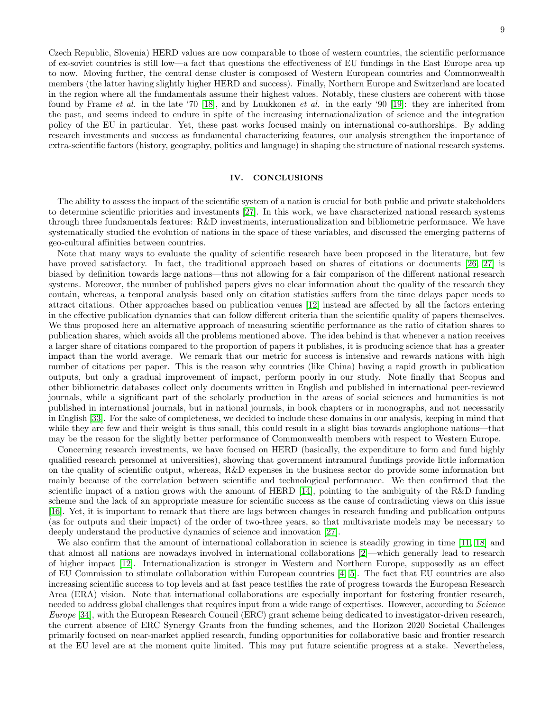Czech Republic, Slovenia) HERD values are now comparable to those of western countries, the scientific performance of ex-soviet countries is still low—a fact that questions the effectiveness of EU fundings in the East Europe area up to now. Moving further, the central dense cluster is composed of Western European countries and Commonwealth members (the latter having slightly higher HERD and success). Finally, Northern Europe and Switzerland are located in the region where all the fundamentals assume their highest values. Notably, these clusters are coherent with those found by Frame et al. in the late '70 [\[18\]](#page-10-5), and by Luukkonen et al. in the early '90 [\[19\]](#page-10-6): they are inherited from the past, and seems indeed to endure in spite of the increasing internationalization of science and the integration policy of the EU in particular. Yet, these past works focused mainly on international co-authorships. By adding research investments and success as fundamental characterizing features, our analysis strengthen the importance of extra-scientific factors (history, geography, politics and language) in shaping the structure of national research systems.

# IV. CONCLUSIONS

The ability to assess the impact of the scientific system of a nation is crucial for both public and private stakeholders to determine scientific priorities and investments [\[27\]](#page-10-14). In this work, we have characterized national research systems through three fundamentals features: R&D investments, internationalization and bibliometric performance. We have systematically studied the evolution of nations in the space of these variables, and discussed the emerging patterns of geo-cultural affinities between countries.

Note that many ways to evaluate the quality of scientific research have been proposed in the literature, but few have proved satisfactory. In fact, the traditional approach based on shares of citations or documents [\[26,](#page-10-13) [27\]](#page-10-14) is biased by definition towards large nations—thus not allowing for a fair comparison of the different national research systems. Moreover, the number of published papers gives no clear information about the quality of the research they contain, whereas, a temporal analysis based only on citation statistics suffers from the time delays paper needs to attract citations. Other approaches based on publication venues [\[12\]](#page-9-9) instead are affected by all the factors entering in the effective publication dynamics that can follow different criteria than the scientific quality of papers themselves. We thus proposed here an alternative approach of measuring scientific performance as the ratio of citation shares to publication shares, which avoids all the problems mentioned above. The idea behind is that whenever a nation receives a larger share of citations compared to the proportion of papers it publishes, it is producing science that has a greater impact than the world average. We remark that our metric for success is intensive and rewards nations with high number of citations per paper. This is the reason why countries (like China) having a rapid growth in publication outputs, but only a gradual improvement of impact, perform poorly in our study. Note finally that Scopus and other bibliometric databases collect only documents written in English and published in international peer-reviewed journals, while a significant part of the scholarly production in the areas of social sciences and humanities is not published in international journals, but in national journals, in book chapters or in monographs, and not necessarily in English [\[33\]](#page-10-20). For the sake of completeness, we decided to include these domains in our analysis, keeping in mind that while they are few and their weight is thus small, this could result in a slight bias towards anglophone nations—that may be the reason for the slightly better performance of Commonwealth members with respect to Western Europe.

Concerning research investments, we have focused on HERD (basically, the expenditure to form and fund highly qualified research personnel at universities), showing that government intramural fundings provide little information on the quality of scientific output, whereas, R&D expenses in the business sector do provide some information but mainly because of the correlation between scientific and technological performance. We then confirmed that the scientific impact of a nation grows with the amount of HERD [\[14\]](#page-10-1), pointing to the ambiguity of the R&D funding scheme and the lack of an appropriate measure for scientific success as the cause of contradicting views on this issue [\[16\]](#page-10-3). Yet, it is important to remark that there are lags between changes in research funding and publication outputs (as for outputs and their impact) of the order of two-three years, so that multivariate models may be necessary to deeply understand the productive dynamics of science and innovation [\[27\]](#page-10-14).

We also confirm that the amount of international collaboration in science is steadily growing in time [\[11,](#page-9-10) [18\]](#page-10-5) and that almost all nations are nowadays involved in international collaborations [\[2\]](#page-9-1)—which generally lead to research of higher impact [\[12\]](#page-9-9). Internationalization is stronger in Western and Northern Europe, supposedly as an effect of EU Commission to stimulate collaboration within European countries [\[4,](#page-9-3) [5\]](#page-9-4). The fact that EU countries are also increasing scientific success to top levels and at fast peace testifies the rate of progress towards the European Research Area (ERA) vision. Note that international collaborations are especially important for fostering frontier research, needed to address global challenges that requires input from a wide range of expertises. However, according to Science Europe [\[34\]](#page-10-21), with the European Research Council (ERC) grant scheme being dedicated to investigator-driven research, the current absence of ERC Synergy Grants from the funding schemes, and the Horizon 2020 Societal Challenges primarily focused on near-market applied research, funding opportunities for collaborative basic and frontier research at the EU level are at the moment quite limited. This may put future scientific progress at a stake. Nevertheless,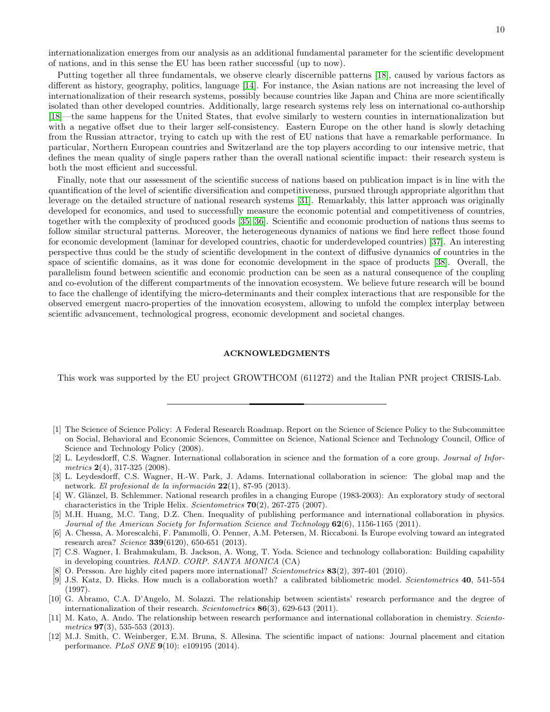internationalization emerges from our analysis as an additional fundamental parameter for the scientific development of nations, and in this sense the EU has been rather successful (up to now).

Putting together all three fundamentals, we observe clearly discernible patterns [\[18\]](#page-10-5), caused by various factors as different as history, geography, politics, language [\[14\]](#page-10-1). For instance, the Asian nations are not increasing the level of internationalization of their research systems, possibly because countries like Japan and China are more scientifically isolated than other developed countries. Additionally, large research systems rely less on international co-authorship [\[18\]](#page-10-5)—the same happens for the United States, that evolve similarly to western counties in internationalization but with a negative offset due to their larger self-consistency. Eastern Europe on the other hand is slowly detaching from the Russian attractor, trying to catch up with the rest of EU nations that have a remarkable performance. In particular, Northern European countries and Switzerland are the top players according to our intensive metric, that defines the mean quality of single papers rather than the overall national scientific impact: their research system is both the most efficient and successful.

Finally, note that our assessment of the scientific success of nations based on publication impact is in line with the quantification of the level of scientific diversification and competitiveness, pursued through appropriate algorithm that leverage on the detailed structure of national research systems [\[31\]](#page-10-18). Remarkably, this latter approach was originally developed for economics, and used to successfully measure the economic potential and competitiveness of countries, together with the complexity of produced goods [\[35,](#page-10-22) [36\]](#page-10-23). Scientific and economic production of nations thus seems to follow similar structural patterns. Moreover, the heterogeneous dynamics of nations we find here reflect those found for economic development (laminar for developed countries, chaotic for underdeveloped countries) [\[37\]](#page-10-24). An interesting perspective thus could be the study of scientific development in the context of diffusive dynamics of countries in the space of scientific domains, as it was done for economic development in the space of products [\[38\]](#page-10-25). Overall, the parallelism found between scientific and economic production can be seen as a natural consequence of the coupling and co-evolution of the different compartments of the innovation ecosystem. We believe future research will be bound to face the challenge of identifying the micro-determinants and their complex interactions that are responsible for the observed emergent macro-properties of the innovation ecosystem, allowing to unfold the complex interplay between scientific advancement, technological progress, economic development and societal changes.

### ACKNOWLEDGMENTS

This work was supported by the EU project GROWTHCOM (611272) and the Italian PNR project CRISIS-Lab.

- <span id="page-9-0"></span>[1] The Science of Science Policy: A Federal Research Roadmap. Report on the Science of Science Policy to the Subcommittee on Social, Behavioral and Economic Sciences, Committee on Science, National Science and Technology Council, Office of Science and Technology Policy (2008).
- <span id="page-9-1"></span>[2] L. Leydesdorff, C.S. Wagner. International collaboration in science and the formation of a core group. Journal of Informetrics  $2(4)$ , 317-325 (2008).
- <span id="page-9-2"></span>[3] L. Leydesdorff, C.S. Wagner, H.-W. Park, J. Adams. International collaboration in science: The global map and the network. El profesional de la información  $22(1)$ , 87-95 (2013).
- <span id="page-9-3"></span>[4] W. Glänzel, B. Schlemmer. National research profiles in a changing Europe (1983-2003): An exploratory study of sectoral characteristics in the Triple Helix. Scientometrics  $70(2)$ , 267-275 (2007).
- <span id="page-9-4"></span>[5] M.H. Huang, M.C. Tang, D.Z. Chen. Inequality of publishing performance and international collaboration in physics. Journal of the American Society for Information Science and Technology 62(6), 1156-1165 (2011).
- <span id="page-9-5"></span>[6] A. Chessa, A. Morescalchi, F. Pammolli, O. Penner, A.M. Petersen, M. Riccaboni. Is Europe evolving toward an integrated research area?  $Science 339(6120), 650-651 (2013).$
- <span id="page-9-6"></span>[7] C.S. Wagner, I. Brahmakulam, B. Jackson, A. Wong, T. Yoda. Science and technology collaboration: Building capability in developing countries. RAND. CORP. SANTA MONICA (CA)
- <span id="page-9-7"></span>O. Persson. Are highly cited papers more international? Scientometrics 83(2), 397-401 (2010).
- <span id="page-9-8"></span>[9] J.S. Katz, D. Hicks. How much is a collaboration worth? a calibrated bibliometric model. Scientometrics 40, 541-554 (1997).
- [10] G. Abramo, C.A. D'Angelo, M. Solazzi. The relationship between scientists' research performance and the degree of internationalization of their research. Scientometrics 86(3), 629-643 (2011).
- <span id="page-9-10"></span>[11] M. Kato, A. Ando. The relationship between research performance and international collaboration in chemistry. Scientometrics  $97(3)$ , 535-553 (2013).
- <span id="page-9-9"></span>[12] M.J. Smith, C. Weinberger, E.M. Bruna, S. Allesina. The scientific impact of nations: Journal placement and citation performance. PLoS ONE 9(10): e109195 (2014).